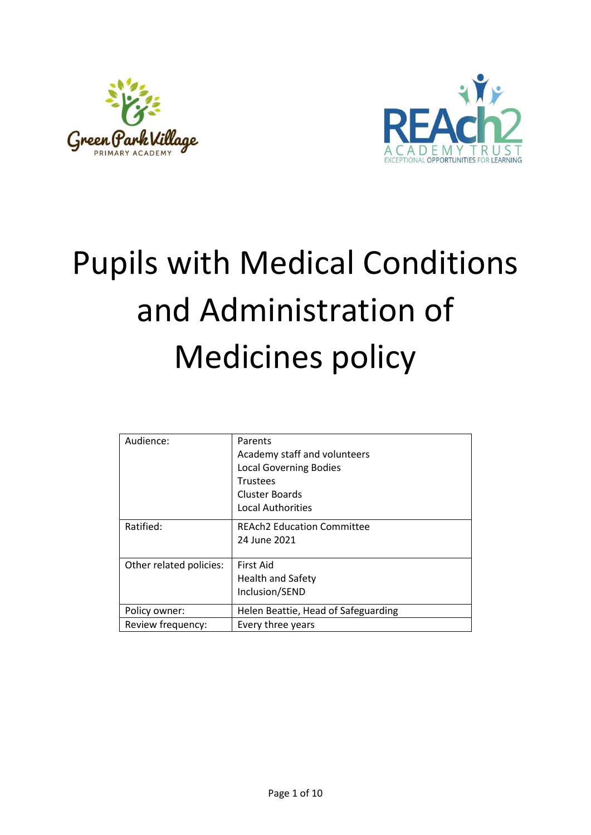



# Pupils with Medical Conditions and Administration of Medicines policy

| Audience:               | Parents<br>Academy staff and volunteers<br><b>Local Governing Bodies</b><br><b>Trustees</b> |
|-------------------------|---------------------------------------------------------------------------------------------|
|                         | <b>Cluster Boards</b>                                                                       |
|                         | Local Authorities                                                                           |
| Ratified:               | <b>REAch2 Education Committee</b>                                                           |
|                         | 24 June 2021                                                                                |
| Other related policies: | First Aid                                                                                   |
|                         | <b>Health and Safety</b>                                                                    |
|                         | Inclusion/SEND                                                                              |
| Policy owner:           | Helen Beattie, Head of Safeguarding                                                         |
| Review frequency:       | Every three years                                                                           |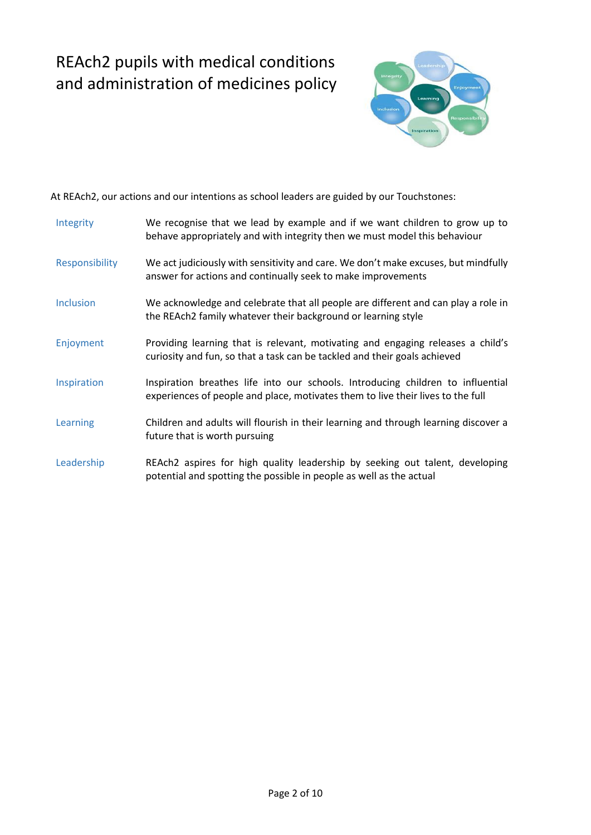## REAch2 pupils with medical conditions and administration of medicines policy



At REAch2, our actions and our intentions as school leaders are guided by our Touchstones:

| Integrity        | We recognise that we lead by example and if we want children to grow up to<br>behave appropriately and with integrity then we must model this behaviour            |
|------------------|--------------------------------------------------------------------------------------------------------------------------------------------------------------------|
| Responsibility   | We act judiciously with sensitivity and care. We don't make excuses, but mindfully<br>answer for actions and continually seek to make improvements                 |
| <b>Inclusion</b> | We acknowledge and celebrate that all people are different and can play a role in<br>the REAch2 family whatever their background or learning style                 |
| Enjoyment        | Providing learning that is relevant, motivating and engaging releases a child's<br>curiosity and fun, so that a task can be tackled and their goals achieved       |
| Inspiration      | Inspiration breathes life into our schools. Introducing children to influential<br>experiences of people and place, motivates them to live their lives to the full |
| Learning         | Children and adults will flourish in their learning and through learning discover a<br>future that is worth pursuing                                               |
| Leadership       | REAch2 aspires for high quality leadership by seeking out talent, developing<br>potential and spotting the possible in people as well as the actual                |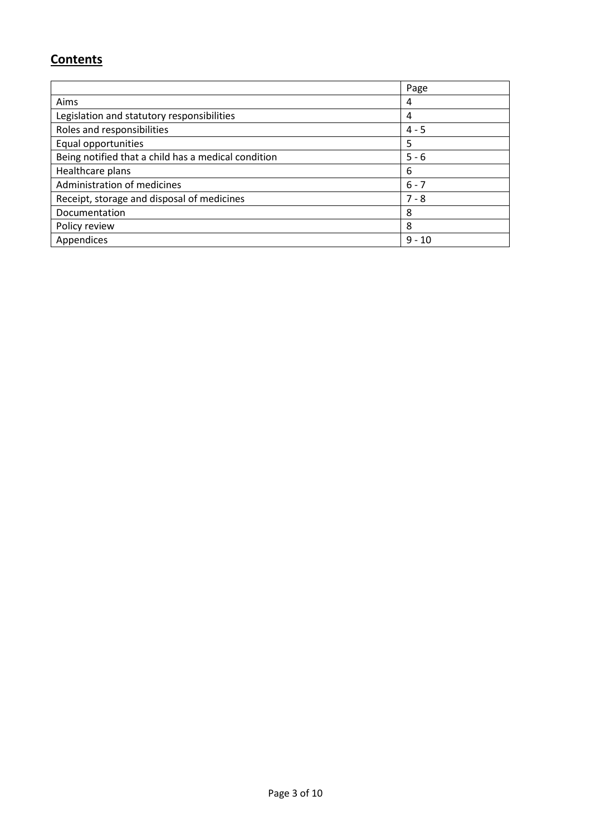### **Contents**

|                                                     | Page     |
|-----------------------------------------------------|----------|
| Aims                                                | 4        |
| Legislation and statutory responsibilities          | 4        |
| Roles and responsibilities                          | $4 - 5$  |
| Equal opportunities                                 | 5        |
| Being notified that a child has a medical condition | $5 - 6$  |
| Healthcare plans                                    | 6        |
| Administration of medicines                         | $6 - 7$  |
| Receipt, storage and disposal of medicines          | $7 - 8$  |
| Documentation                                       | 8        |
| Policy review                                       | 8        |
| Appendices                                          | $9 - 10$ |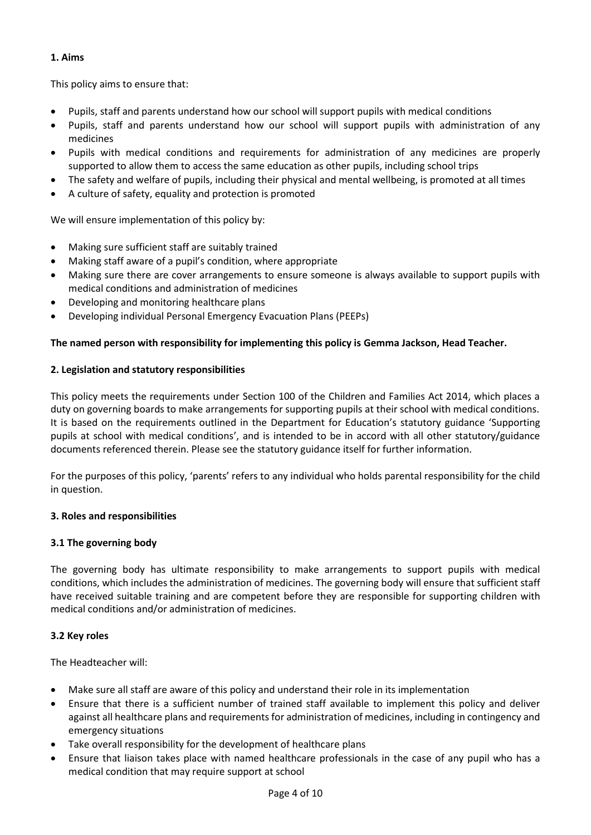#### **1. Aims**

This policy aims to ensure that:

- Pupils, staff and parents understand how our school will support pupils with medical conditions
- Pupils, staff and parents understand how our school will support pupils with administration of any medicines
- Pupils with medical conditions and requirements for administration of any medicines are properly supported to allow them to access the same education as other pupils, including school trips
- The safety and welfare of pupils, including their physical and mental wellbeing, is promoted at all times
- A culture of safety, equality and protection is promoted

We will ensure implementation of this policy by:

- Making sure sufficient staff are suitably trained
- Making staff aware of a pupil's condition, where appropriate
- Making sure there are cover arrangements to ensure someone is always available to support pupils with medical conditions and administration of medicines
- Developing and monitoring healthcare plans
- Developing individual Personal Emergency Evacuation Plans (PEEPs)

#### **The named person with responsibility for implementing this policy is Gemma Jackson, Head Teacher.**

#### **2. Legislation and statutory responsibilities**

This policy meets the requirements under Section 100 of the Children and Families Act 2014, which places a duty on governing boards to make arrangements for supporting pupils at their school with medical conditions. It is based on the requirements outlined in the Department for Education's statutory guidance 'Supporting pupils at school with medical conditions', and is intended to be in accord with all other statutory/guidance documents referenced therein. Please see the statutory guidance itself for further information.

For the purposes of this policy, 'parents' refers to any individual who holds parental responsibility for the child in question.

#### **3. Roles and responsibilities**

#### **3.1 The governing body**

The governing body has ultimate responsibility to make arrangements to support pupils with medical conditions, which includes the administration of medicines. The governing body will ensure that sufficient staff have received suitable training and are competent before they are responsible for supporting children with medical conditions and/or administration of medicines.

#### **3.2 Key roles**

The Headteacher will:

- Make sure all staff are aware of this policy and understand their role in its implementation
- Ensure that there is a sufficient number of trained staff available to implement this policy and deliver against all healthcare plans and requirements for administration of medicines, including in contingency and emergency situations
- Take overall responsibility for the development of healthcare plans
- Ensure that liaison takes place with named healthcare professionals in the case of any pupil who has a medical condition that may require support at school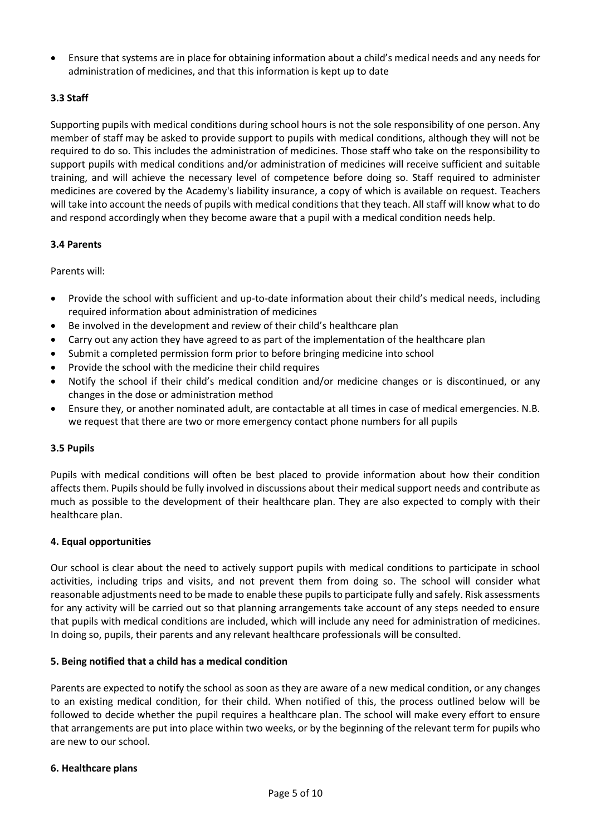• Ensure that systems are in place for obtaining information about a child's medical needs and any needs for administration of medicines, and that this information is kept up to date

#### **3.3 Staff**

Supporting pupils with medical conditions during school hours is not the sole responsibility of one person. Any member of staff may be asked to provide support to pupils with medical conditions, although they will not be required to do so. This includes the administration of medicines. Those staff who take on the responsibility to support pupils with medical conditions and/or administration of medicines will receive sufficient and suitable training, and will achieve the necessary level of competence before doing so. Staff required to administer medicines are covered by the Academy's liability insurance, a copy of which is available on request. Teachers will take into account the needs of pupils with medical conditions that they teach. All staff will know what to do and respond accordingly when they become aware that a pupil with a medical condition needs help.

#### **3.4 Parents**

Parents will:

- Provide the school with sufficient and up-to-date information about their child's medical needs, including required information about administration of medicines
- Be involved in the development and review of their child's healthcare plan
- Carry out any action they have agreed to as part of the implementation of the healthcare plan
- Submit a completed permission form prior to before bringing medicine into school
- Provide the school with the medicine their child requires
- Notify the school if their child's medical condition and/or medicine changes or is discontinued, or any changes in the dose or administration method
- Ensure they, or another nominated adult, are contactable at all times in case of medical emergencies. N.B. we request that there are two or more emergency contact phone numbers for all pupils

#### **3.5 Pupils**

Pupils with medical conditions will often be best placed to provide information about how their condition affects them. Pupils should be fully involved in discussions about their medical support needs and contribute as much as possible to the development of their healthcare plan. They are also expected to comply with their healthcare plan.

#### **4. Equal opportunities**

Our school is clear about the need to actively support pupils with medical conditions to participate in school activities, including trips and visits, and not prevent them from doing so. The school will consider what reasonable adjustments need to be made to enable these pupils to participate fully and safely. Risk assessments for any activity will be carried out so that planning arrangements take account of any steps needed to ensure that pupils with medical conditions are included, which will include any need for administration of medicines. In doing so, pupils, their parents and any relevant healthcare professionals will be consulted.

#### **5. Being notified that a child has a medical condition**

Parents are expected to notify the school as soon as they are aware of a new medical condition, or any changes to an existing medical condition, for their child. When notified of this, the process outlined below will be followed to decide whether the pupil requires a healthcare plan. The school will make every effort to ensure that arrangements are put into place within two weeks, or by the beginning of the relevant term for pupils who are new to our school.

#### **6. Healthcare plans**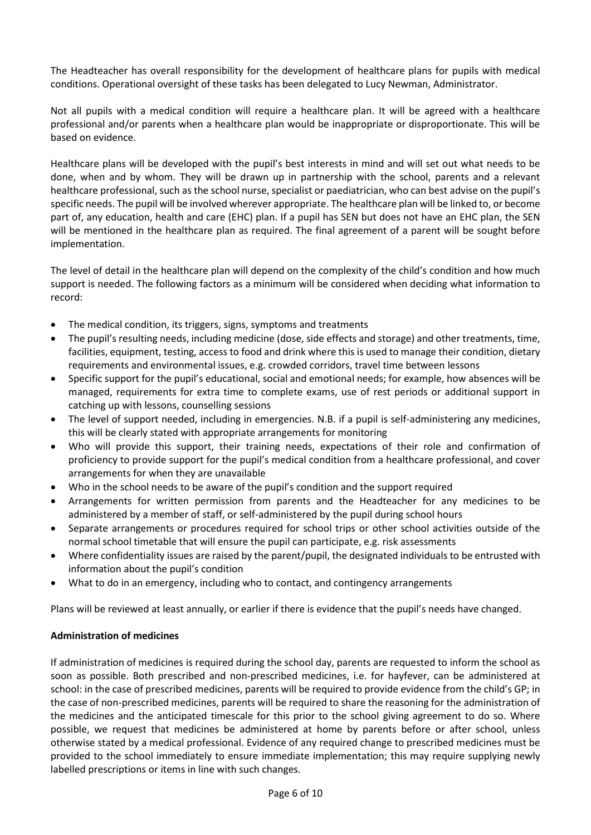The Headteacher has overall responsibility for the development of healthcare plans for pupils with medical conditions. Operational oversight of these tasks has been delegated to Lucy Newman, Administrator.

Not all pupils with a medical condition will require a healthcare plan. It will be agreed with a healthcare professional and/or parents when a healthcare plan would be inappropriate or disproportionate. This will be based on evidence.

Healthcare plans will be developed with the pupil's best interests in mind and will set out what needs to be done, when and by whom. They will be drawn up in partnership with the school, parents and a relevant healthcare professional, such as the school nurse, specialist or paediatrician, who can best advise on the pupil's specific needs. The pupil will be involved wherever appropriate. The healthcare plan will be linked to, or become part of, any education, health and care (EHC) plan. If a pupil has SEN but does not have an EHC plan, the SEN will be mentioned in the healthcare plan as required. The final agreement of a parent will be sought before implementation.

The level of detail in the healthcare plan will depend on the complexity of the child's condition and how much support is needed. The following factors as a minimum will be considered when deciding what information to record:

- The medical condition, its triggers, signs, symptoms and treatments
- The pupil's resulting needs, including medicine (dose, side effects and storage) and other treatments, time, facilities, equipment, testing, access to food and drink where this is used to manage their condition, dietary requirements and environmental issues, e.g. crowded corridors, travel time between lessons
- Specific support for the pupil's educational, social and emotional needs; for example, how absences will be managed, requirements for extra time to complete exams, use of rest periods or additional support in catching up with lessons, counselling sessions
- The level of support needed, including in emergencies. N.B. if a pupil is self-administering any medicines, this will be clearly stated with appropriate arrangements for monitoring
- Who will provide this support, their training needs, expectations of their role and confirmation of proficiency to provide support for the pupil's medical condition from a healthcare professional, and cover arrangements for when they are unavailable
- Who in the school needs to be aware of the pupil's condition and the support required
- Arrangements for written permission from parents and the Headteacher for any medicines to be administered by a member of staff, or self-administered by the pupil during school hours
- Separate arrangements or procedures required for school trips or other school activities outside of the normal school timetable that will ensure the pupil can participate, e.g. risk assessments
- Where confidentiality issues are raised by the parent/pupil, the designated individuals to be entrusted with information about the pupil's condition
- What to do in an emergency, including who to contact, and contingency arrangements

Plans will be reviewed at least annually, or earlier if there is evidence that the pupil's needs have changed.

#### **Administration of medicines**

If administration of medicines is required during the school day, parents are requested to inform the school as soon as possible. Both prescribed and non-prescribed medicines, i.e. for hayfever, can be administered at school: in the case of prescribed medicines, parents will be required to provide evidence from the child's GP; in the case of non-prescribed medicines, parents will be required to share the reasoning for the administration of the medicines and the anticipated timescale for this prior to the school giving agreement to do so. Where possible, we request that medicines be administered at home by parents before or after school, unless otherwise stated by a medical professional. Evidence of any required change to prescribed medicines must be provided to the school immediately to ensure immediate implementation; this may require supplying newly labelled prescriptions or items in line with such changes.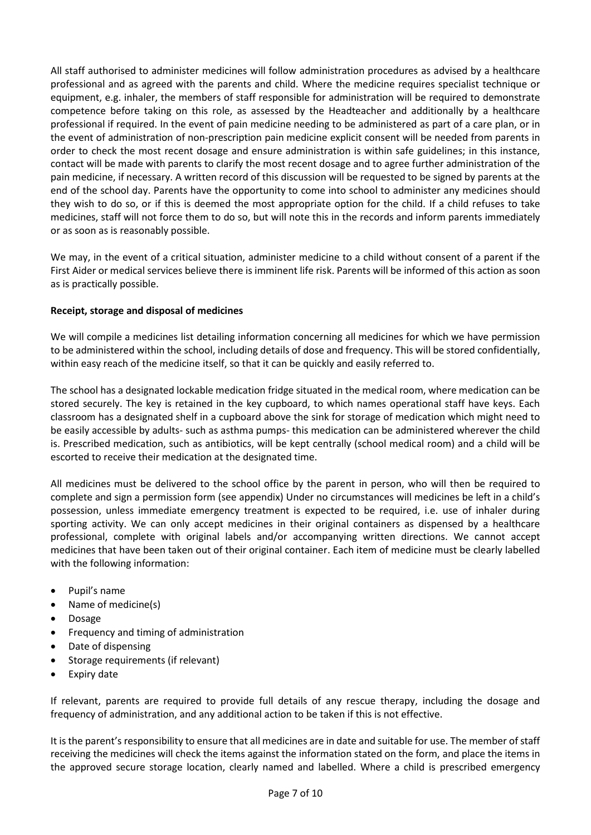All staff authorised to administer medicines will follow administration procedures as advised by a healthcare professional and as agreed with the parents and child. Where the medicine requires specialist technique or equipment, e.g. inhaler, the members of staff responsible for administration will be required to demonstrate competence before taking on this role, as assessed by the Headteacher and additionally by a healthcare professional if required. In the event of pain medicine needing to be administered as part of a care plan, or in the event of administration of non-prescription pain medicine explicit consent will be needed from parents in order to check the most recent dosage and ensure administration is within safe guidelines; in this instance, contact will be made with parents to clarify the most recent dosage and to agree further administration of the pain medicine, if necessary. A written record of this discussion will be requested to be signed by parents at the end of the school day. Parents have the opportunity to come into school to administer any medicines should they wish to do so, or if this is deemed the most appropriate option for the child. If a child refuses to take medicines, staff will not force them to do so, but will note this in the records and inform parents immediately or as soon as is reasonably possible.

We may, in the event of a critical situation, administer medicine to a child without consent of a parent if the First Aider or medical services believe there is imminent life risk. Parents will be informed of this action as soon as is practically possible.

#### **Receipt, storage and disposal of medicines**

We will compile a medicines list detailing information concerning all medicines for which we have permission to be administered within the school, including details of dose and frequency. This will be stored confidentially, within easy reach of the medicine itself, so that it can be quickly and easily referred to.

The school has a designated lockable medication fridge situated in the medical room, where medication can be stored securely. The key is retained in the key cupboard, to which names operational staff have keys. Each classroom has a designated shelf in a cupboard above the sink for storage of medication which might need to be easily accessible by adults- such as asthma pumps- this medication can be administered wherever the child is. Prescribed medication, such as antibiotics, will be kept centrally (school medical room) and a child will be escorted to receive their medication at the designated time.

All medicines must be delivered to the school office by the parent in person, who will then be required to complete and sign a permission form (see appendix) Under no circumstances will medicines be left in a child's possession, unless immediate emergency treatment is expected to be required, i.e. use of inhaler during sporting activity. We can only accept medicines in their original containers as dispensed by a healthcare professional, complete with original labels and/or accompanying written directions. We cannot accept medicines that have been taken out of their original container. Each item of medicine must be clearly labelled with the following information:

- Pupil's name
- Name of medicine(s)
- Dosage
- Frequency and timing of administration
- Date of dispensing
- Storage requirements (if relevant)
- Expiry date

If relevant, parents are required to provide full details of any rescue therapy, including the dosage and frequency of administration, and any additional action to be taken if this is not effective.

It is the parent's responsibility to ensure that all medicines are in date and suitable for use. The member of staff receiving the medicines will check the items against the information stated on the form, and place the items in the approved secure storage location, clearly named and labelled. Where a child is prescribed emergency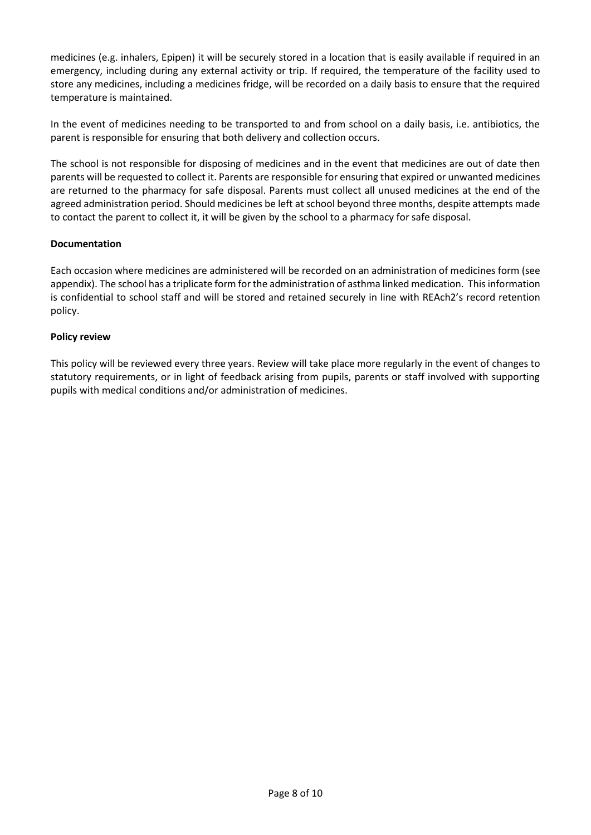medicines (e.g. inhalers, Epipen) it will be securely stored in a location that is easily available if required in an emergency, including during any external activity or trip. If required, the temperature of the facility used to store any medicines, including a medicines fridge, will be recorded on a daily basis to ensure that the required temperature is maintained.

In the event of medicines needing to be transported to and from school on a daily basis, i.e. antibiotics, the parent is responsible for ensuring that both delivery and collection occurs.

The school is not responsible for disposing of medicines and in the event that medicines are out of date then parents will be requested to collect it. Parents are responsible for ensuring that expired or unwanted medicines are returned to the pharmacy for safe disposal. Parents must collect all unused medicines at the end of the agreed administration period. Should medicines be left at school beyond three months, despite attempts made to contact the parent to collect it, it will be given by the school to a pharmacy for safe disposal.

#### **Documentation**

Each occasion where medicines are administered will be recorded on an administration of medicines form (see appendix). The school has a triplicate form for the administration of asthma linked medication. This information is confidential to school staff and will be stored and retained securely in line with REAch2's record retention policy.

#### **Policy review**

This policy will be reviewed every three years. Review will take place more regularly in the event of changes to statutory requirements, or in light of feedback arising from pupils, parents or staff involved with supporting pupils with medical conditions and/or administration of medicines.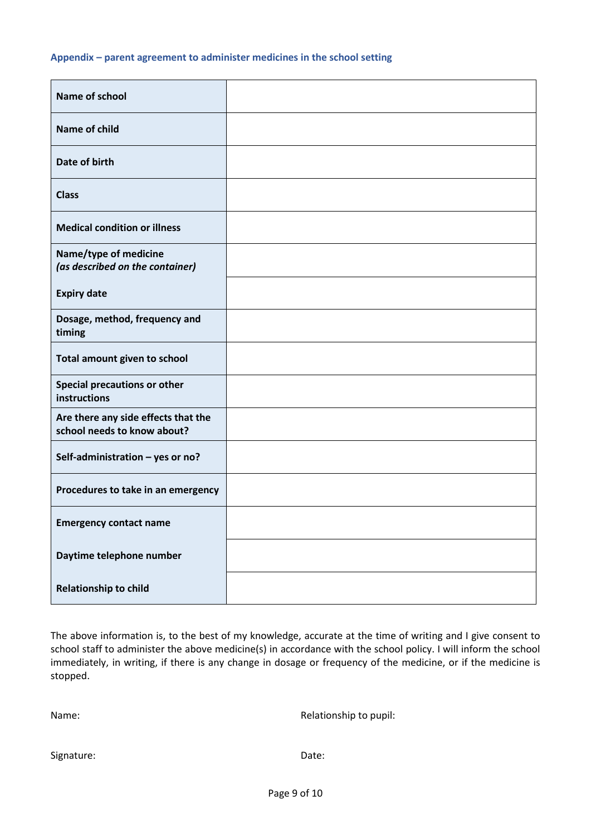#### **Appendix – parent agreement to administer medicines in the school setting**

| <b>Name of school</b>                                              |  |
|--------------------------------------------------------------------|--|
| Name of child                                                      |  |
| Date of birth                                                      |  |
| <b>Class</b>                                                       |  |
| <b>Medical condition or illness</b>                                |  |
| Name/type of medicine<br>(as described on the container)           |  |
| <b>Expiry date</b>                                                 |  |
| Dosage, method, frequency and<br>timing                            |  |
| Total amount given to school                                       |  |
| Special precautions or other<br>instructions                       |  |
| Are there any side effects that the<br>school needs to know about? |  |
| Self-administration - yes or no?                                   |  |
| Procedures to take in an emergency                                 |  |
| <b>Emergency contact name</b>                                      |  |
| Daytime telephone number                                           |  |
| <b>Relationship to child</b>                                       |  |

The above information is, to the best of my knowledge, accurate at the time of writing and I give consent to school staff to administer the above medicine(s) in accordance with the school policy. I will inform the school immediately, in writing, if there is any change in dosage or frequency of the medicine, or if the medicine is stopped.

Name: Name: Relationship to pupil: